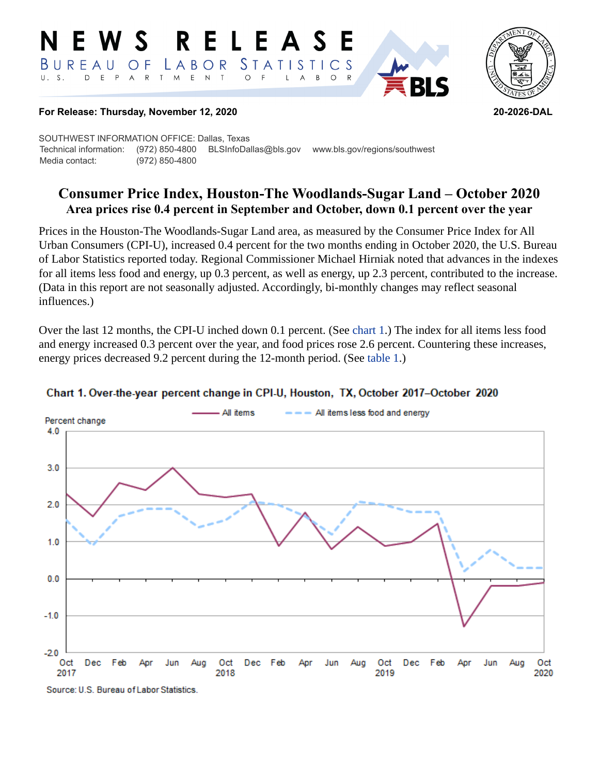#### RELEASE E W S *STATISTICS* BUREAU  $\overline{O}$  F LABOR D E P A R T M  $E$  N  $\top$  $U. S.$  $\circ$  $\overline{A}$  $B$  $\circ$  $\mathsf{L}$



#### **For Release: Thursday, November 12, 2020 20-2026-DAL**

SOUTHWEST INFORMATION OFFICE: Dallas, Texas Technical information: (972) 850-4800 BLSInfoDallas@bls.gov www.bls.gov/regions/southwest Media contact: (972) 850-4800

# **Consumer Price Index, Houston-The Woodlands-Sugar Land – October 2020 Area prices rise 0.4 percent in September and October, down 0.1 percent over the year**

Prices in the Houston-The Woodlands-Sugar Land area, as measured by the Consumer Price Index for All Urban Consumers (CPI-U), increased 0.4 percent for the two months ending in October 2020, the U.S. Bureau of Labor Statistics reported today. Regional Commissioner Michael Hirniak noted that advances in the indexes for all items less food and energy, up 0.3 percent, as well as energy, up 2.3 percent, contributed to the increase. (Data in this report are not seasonally adjusted. Accordingly, bi-monthly changes may reflect seasonal influences.)

Over the last 12 months, the CPI-U inched down 0.1 percent. (See [chart 1](#page-0-0).) The index for all items less food and energy increased 0.3 percent over the year, and food prices rose 2.6 percent. Countering these increases, energy prices decreased 9.2 percent during the 12-month period. (See [table 1](#page-3-0).)



### <span id="page-0-0"></span>Chart 1. Over-the-year percent change in CPI-U, Houston, TX, October 2017-October 2020

Source: U.S. Bureau of Labor Statistics.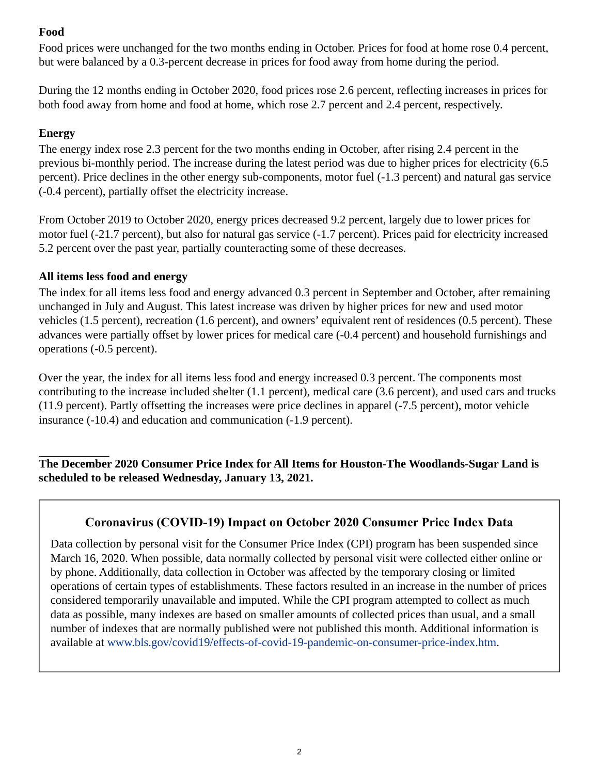## **Food**

Food prices were unchanged for the two months ending in October. Prices for food at home rose 0.4 percent, but were balanced by a 0.3-percent decrease in prices for food away from home during the period.

During the 12 months ending in October 2020, food prices rose 2.6 percent, reflecting increases in prices for both food away from home and food at home, which rose 2.7 percent and 2.4 percent, respectively.

## **Energy**

The energy index rose 2.3 percent for the two months ending in October, after rising 2.4 percent in the previous bi-monthly period. The increase during the latest period was due to higher prices for electricity (6.5 percent). Price declines in the other energy sub-components, motor fuel (-1.3 percent) and natural gas service (-0.4 percent), partially offset the electricity increase.

From October 2019 to October 2020, energy prices decreased 9.2 percent, largely due to lower prices for motor fuel (-21.7 percent), but also for natural gas service (-1.7 percent). Prices paid for electricity increased 5.2 percent over the past year, partially counteracting some of these decreases.

## **All items less food and energy**

The index for all items less food and energy advanced 0.3 percent in September and October, after remaining unchanged in July and August. This latest increase was driven by higher prices for new and used motor vehicles (1.5 percent), recreation (1.6 percent), and owners' equivalent rent of residences (0.5 percent). These advances were partially offset by lower prices for medical care (-0.4 percent) and household furnishings and operations (-0.5 percent).

Over the year, the index for all items less food and energy increased 0.3 percent. The components most contributing to the increase included shelter (1.1 percent), medical care (3.6 percent), and used cars and trucks (11.9 percent). Partly offsetting the increases were price declines in apparel (-7.5 percent), motor vehicle insurance (-10.4) and education and communication (-1.9 percent).

**The December 2020 Consumer Price Index for All Items for Houston-The Woodlands-Sugar Land is scheduled to be released Wednesday, January 13, 2021.**

# **Coronavirus (COVID-19) Impact on October 2020 Consumer Price Index Data**

Data collection by personal visit for the Consumer Price Index (CPI) program has been suspended since March 16, 2020. When possible, data normally collected by personal visit were collected either online or by phone. Additionally, data collection in October was affected by the temporary closing or limited operations of certain types of establishments. These factors resulted in an increase in the number of prices considered temporarily unavailable and imputed. While the CPI program attempted to collect as much data as possible, many indexes are based on smaller amounts of collected prices than usual, and a small number of indexes that are normally published were not published this month. Additional information is available at [www.bls.gov/covid19/effects-of-covid-19-pandemic-on-consumer-price-index.htm.](https://www.bls.gov/covid19/effects-of-covid-19-pandemic-on-consumer-price-index.htm)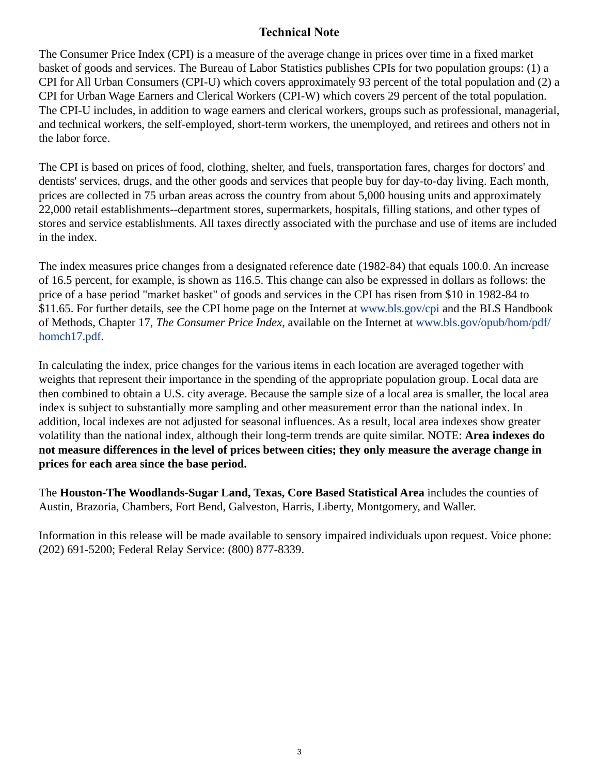## **Technical Note**

The Consumer Price Index (CPI) is a measure of the average change in prices over time in a fixed market basket of goods and services. The Bureau of Labor Statistics publishes CPIs for two population groups: (1) a CPI for All Urban Consumers (CPI-U) which covers approximately 93 percent of the total population and (2) a CPI for Urban Wage Earners and Clerical Workers (CPI-W) which covers 29 percent of the total population. The CPI-U includes, in addition to wage earners and clerical workers, groups such as professional, managerial, and technical workers, the self-employed, short-term workers, the unemployed, and retirees and others not in the labor force.

The CPI is based on prices of food, clothing, shelter, and fuels, transportation fares, charges for doctors' and dentists' services, drugs, and the other goods and services that people buy for day-to-day living. Each month, prices are collected in 75 urban areas across the country from about 5,000 housing units and approximately 22,000 retail establishments--department stores, supermarkets, hospitals, filling stations, and other types of stores and service establishments. All taxes directly associated with the purchase and use of items are included in the index.

The index measures price changes from a designated reference date (1982-84) that equals 100.0. An increase of 16.5 percent, for example, is shown as 116.5. This change can also be expressed in dollars as follows: the price of a base period "market basket" of goods and services in the CPI has risen from \$10 in 1982-84 to \$11.65. For further details, see the CPI home page on the Internet at [www.bls.gov/cpi](https://www.bls.gov/cpi) and the BLS Handbook of Methods, Chapter 17, *The Consumer Price Index*, available on the Internet at [www.bls.gov/opub/hom/pdf/](https://www.bls.gov/opub/hom/pdf/homch17.pdf) [homch17.pdf](https://www.bls.gov/opub/hom/pdf/homch17.pdf).

In calculating the index, price changes for the various items in each location are averaged together with weights that represent their importance in the spending of the appropriate population group. Local data are then combined to obtain a U.S. city average. Because the sample size of a local area is smaller, the local area index is subject to substantially more sampling and other measurement error than the national index. In addition, local indexes are not adjusted for seasonal influences. As a result, local area indexes show greater volatility than the national index, although their long-term trends are quite similar. NOTE: **Area indexes do not measure differences in the level of prices between cities; they only measure the average change in prices for each area since the base period.**

The **Houston-The Woodlands-Sugar Land, Texas, Core Based Statistical Area** includes the counties of Austin, Brazoria, Chambers, Fort Bend, Galveston, Harris, Liberty, Montgomery, and Waller.

Information in this release will be made available to sensory impaired individuals upon request. Voice phone: (202) 691-5200; Federal Relay Service: (800) 877-8339.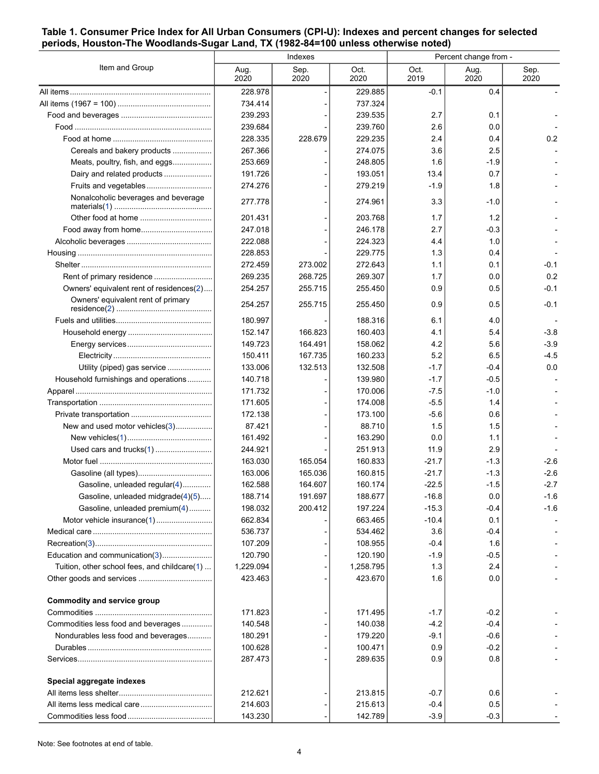#### <span id="page-3-0"></span>**Table 1. Consumer Price Index for All Urban Consumers (CPI-U): Indexes and percent changes for selected periods, Houston-The Woodlands-Sugar Land, TX (1982-84=100 unless otherwise noted)**

| Item and Group                               | Indexes      |              |              | Percent change from - |              |              |
|----------------------------------------------|--------------|--------------|--------------|-----------------------|--------------|--------------|
|                                              | Aug.<br>2020 | Sep.<br>2020 | Oct.<br>2020 | Oct.<br>2019          | Aug.<br>2020 | Sep.<br>2020 |
|                                              | 228.978      |              | 229.885      | $-0.1$                | 0.4          |              |
|                                              | 734.414      |              | 737.324      |                       |              |              |
|                                              | 239.293      |              | 239.535      | 2.7                   | 0.1          |              |
|                                              | 239.684      |              | 239.760      | 2.6                   | 0.0          |              |
|                                              | 228.335      | 228.679      | 229.235      | 2.4                   | 0.4          | 0.2          |
| Cereals and bakery products                  | 267.366      |              | 274.075      | 3.6                   | 2.5          |              |
| Meats, poultry, fish, and eggs               | 253.669      |              | 248.805      | 1.6                   | -1.9         |              |
| Dairy and related products                   | 191.726      |              | 193.051      | 13.4                  | 0.7          |              |
| Fruits and vegetables                        | 274.276      |              | 279.219      | $-1.9$                | 1.8          |              |
| Nonalcoholic beverages and beverage          | 277.778      |              | 274.961      | 3.3                   | -1.0         |              |
|                                              | 201.431      |              | 203.768      | 1.7                   | 1.2          |              |
|                                              | 247.018      |              | 246.178      | 2.7                   | -0.3         |              |
|                                              | 222.088      |              | 224.323      | 4.4                   | 1.0          |              |
|                                              | 228.853      |              | 229.775      | 1.3                   | 0.4          |              |
|                                              | 272.459      | 273.002      | 272.643      | 1.1                   | 0.1          | -0.1         |
|                                              | 269.235      | 268.725      | 269.307      | 1.7                   | 0.0          | 0.2          |
| Owners' equivalent rent of residences(2)     | 254.257      | 255.715      | 255.450      | 0.9                   | 0.5          | $-0.1$       |
| Owners' equivalent rent of primary           | 254.257      | 255.715      | 255.450      | 0.9                   | 0.5          | $-0.1$       |
|                                              | 180.997      |              | 188.316      | 6.1                   | 4.0          |              |
|                                              | 152.147      | 166.823      | 160.403      | 4.1                   | 5.4          | $-3.8$       |
|                                              | 149.723      | 164.491      | 158.062      | 4.2                   | 5.6          | $-3.9$       |
|                                              | 150.411      | 167.735      | 160.233      | 5.2                   | 6.5          | $-4.5$       |
| Utility (piped) gas service                  | 133.006      | 132.513      | 132.508      | $-1.7$                | -0.4         | 0.0          |
| Household furnishings and operations         | 140.718      |              | 139.980      | $-1.7$                | $-0.5$       |              |
|                                              | 171.732      |              | 170.006      | $-7.5$                | $-1.0$       |              |
|                                              | 171.605      |              | 174.008      | $-5.5$                | 1.4          |              |
|                                              | 172.138      |              | 173.100      | $-5.6$                | 0.6          |              |
| New and used motor vehicles(3)               | 87.421       |              | 88.710       | 15                    | 1.5          |              |
|                                              | 161.492      |              | 163.290      | 0.0                   | 1.1          |              |
|                                              | 244.921      |              | 251.913      | 11.9                  | 2.9          |              |
| Used cars and trucks(1)                      | 163.030      | 165.054      | 160.833      | $-21.7$               | -1.3         | $-2.6$       |
|                                              | 163.006      | 165.036      | 160.815      | $-21.7$               | $-1.3$       | $-2.6$       |
|                                              |              | 164.607      |              | $-22.5$               |              | $-2.7$       |
| Gasoline, unleaded regular(4)                | 162.588      | 191.697      | 160.174      |                       | $-1.5$       |              |
| Gasoline, unleaded midgrade(4)(5)            | 188.714      |              | 188.677      | $-16.8$               | 0.0          | $-1.6$       |
| Gasoline, unleaded premium(4)                | 198.032      | 200.412      | 197.224      | $-15.3$               | $-0.4$       | $-1.6$       |
| Motor vehicle insurance(1)                   | 662.834      |              | 663.465      | $-10.4$               | 0.1          |              |
|                                              | 536.737      |              | 534.462      | 3.6                   | -0.4         |              |
|                                              | 107.209      |              | 108.955      | -0.4                  | 1.6          |              |
| Education and communication(3)               | 120.790      |              | 120.190      | $-1.9$                | -0.5         |              |
| Tuition, other school fees, and childcare(1) | 1,229.094    |              | 1,258.795    | 1.3                   | 2.4          |              |
|                                              | 423.463      |              | 423.670      | 1.6                   | 0.0          |              |
| Commodity and service group                  |              |              |              |                       |              |              |
|                                              | 171.823      |              | 171.495      | $-1.7$                | $-0.2$       |              |
| Commodities less food and beverages          | 140.548      |              | 140.038      | $-4.2$                | $-0.4$       |              |
| Nondurables less food and beverages          | 180.291      |              | 179.220      | -9.1                  | $-0.6$       |              |
|                                              | 100.628      |              | 100.471      | 0.9                   | $-0.2$       |              |
|                                              | 287.473      |              | 289.635      | 0.9                   | 0.8          |              |
| Special aggregate indexes                    |              |              |              |                       |              |              |
|                                              | 212.621      |              | 213.815      | $-0.7$                | 0.6          |              |
|                                              | 214.603      |              | 215.613      | $-0.4$                | 0.5          |              |
|                                              | 143.230      |              | 142.789      | $-3.9$                | $-0.3$       |              |